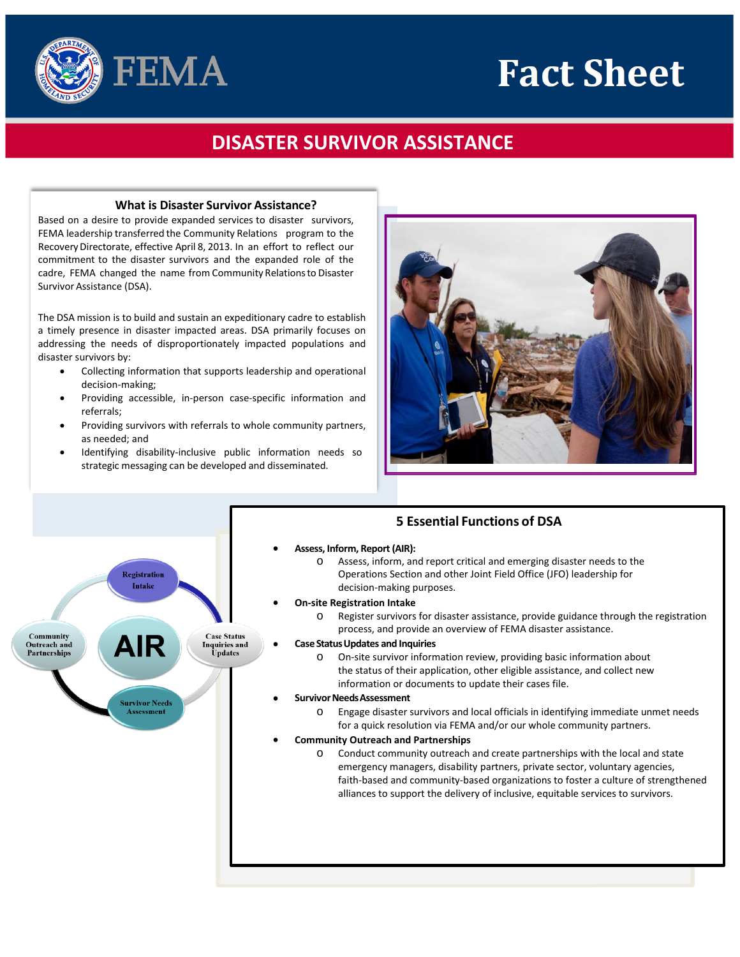## **Fact Sheet**



## **DISASTER SURVIVOR ASSISTANCE**

## **What is Disaster Survivor Assistance?**

 Based on a desire to provide expanded services to disaster survivors, FEMA leadership transferred the Community Relations program to the Recovery Directorate, effective April 8, 2013. In an effort to reflect our commitment to the disaster survivors and the expanded role of the cadre, FEMA changed the name from Community Relations to Disaster Survivor Assistance (DSA).

 disaster survivors by: The DSA mission is to build and sustain an expeditionary cadre to establish a timely presence in disaster impacted areas. DSA primarily focuses on addressing the needs of disproportionately impacted populations and

- Collecting information that supports leadership and operational decision-making;
- Providing accessible, in-person case-specific information and referrals;
- Providing survivors with referrals to whole community partners, as needed; and
- • Identifying disability-inclusive public information needs so strategic messaging can be developed and disseminated.